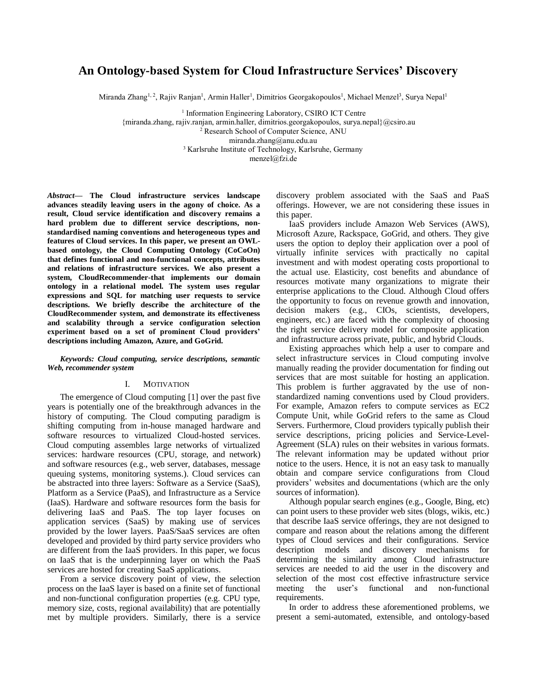# **An Ontology-based System for Cloud Infrastructure Services' Discovery**

Miranda Zhang<sup>1, 2</sup>, Rajiv Ranjan<sup>1</sup>, Armin Haller<sup>1</sup>, Dimitrios Georgakopoulos<sup>1</sup>, Michael Menzel<sup>3</sup>, Surya Nepal<sup>1</sup>

<sup>1</sup> Information Engineering Laboratory, CSIRO ICT Centre {miranda.zhang, rajiv.ranjan, armin.haller, dimitrios.georgakopoulos, surya.nep[al}@csiro.au](mailto:%7d@csiro.au) <sup>2</sup> Research School of Computer Science, ANU [miranda.zhang@anu.edu.au](mailto:miranda.zhang@anu.edu.au) <sup>3</sup> Karlsruhe Institute of Technology, Karlsruhe, Germany menzel@fzi.de

*Abstract***— The Cloud infrastructure services landscape advances steadily leaving users in the agony of choice. As a result, Cloud service identification and discovery remains a hard problem due to different service descriptions, nonstandardised naming conventions and heterogeneous types and features of Cloud services. In this paper, we present an OWLbased ontology, the Cloud Computing Ontology (CoCoOn) that defines functional and non-functional concepts, attributes and relations of infrastructure services. We also present a system, CloudRecommender-that implements our domain ontology in a relational model. The system uses regular expressions and SQL for matching user requests to service descriptions. We briefly describe the architecture of the CloudRecommender system, and demonstrate its effectiveness and scalability through a service configuration selection experiment based on a set of prominent Cloud providers' descriptions including Amazon, Azure, and GoGrid.**

#### *Keywords: Cloud computing, service descriptions, semantic Web, recommender system*

#### I. MOTIVATION

The emergence of Cloud computing [\[1\]](#page-6-0) over the past five years is potentially one of the breakthrough advances in the history of computing. The Cloud computing paradigm is shifting computing from in-house managed hardware and software resources to virtualized Cloud-hosted services. Cloud computing assembles large networks of virtualized services: hardware resources (CPU, storage, and network) and software resources (e.g., web server, databases, message queuing systems, monitoring systems.). Cloud services can be abstracted into three layers: Software as a Service (SaaS), Platform as a Service (PaaS), and Infrastructure as a Service (IaaS). Hardware and software resources form the basis for delivering IaaS and PaaS. The top layer focuses on application services (SaaS) by making use of services provided by the lower layers. PaaS/SaaS services are often developed and provided by third party service providers who are different from the IaaS providers. In this paper, we focus on IaaS that is the underpinning layer on which the PaaS services are hosted for creating SaaS applications.

From a service discovery point of view, the selection process on the IaaS layer is based on a finite set of functional and non-functional configuration properties (e.g. CPU type, memory size, costs, regional availability) that are potentially met by multiple providers. Similarly, there is a service discovery problem associated with the SaaS and PaaS offerings. However, we are not considering these issues in this paper.

IaaS providers include Amazon Web Services (AWS), Microsoft Azure, Rackspace, GoGrid, and others. They give users the option to deploy their application over a pool of virtually infinite services with practically no capital investment and with modest operating costs proportional to the actual use. Elasticity, cost benefits and abundance of resources motivate many organizations to migrate their enterprise applications to the Cloud. Although Cloud offers the opportunity to focus on revenue growth and innovation, decision makers (e.g., CIOs, scientists, developers, engineers, etc.) are faced with the complexity of choosing the right service delivery model for composite application and infrastructure across private, public, and hybrid Clouds.

Existing approaches which help a user to compare and select infrastructure services in Cloud computing involve manually reading the provider documentation for finding out services that are most suitable for hosting an application. This problem is further aggravated by the use of nonstandardized naming conventions used by Cloud providers. For example, Amazon refers to compute services as EC2 Compute Unit, while GoGrid refers to the same as Cloud Servers. Furthermore, Cloud providers typically publish their service descriptions, pricing policies and Service-Level-Agreement (SLA) rules on their websites in various formats. The relevant information may be updated without prior notice to the users. Hence, it is not an easy task to manually obtain and compare service configurations from Cloud providers' websites and documentations (which are the only sources of information).

Although popular search engines (e.g., Google, Bing, etc) can point users to these provider web sites (blogs, wikis, etc.) that describe IaaS service offerings, they are not designed to compare and reason about the relations among the different types of Cloud services and their configurations. Service description models and discovery mechanisms for determining the similarity among Cloud infrastructure services are needed to aid the user in the discovery and selection of the most cost effective infrastructure service meeting the user's functional and non-functional requirements.

In order to address these aforementioned problems, we present a semi-automated, extensible, and ontology-based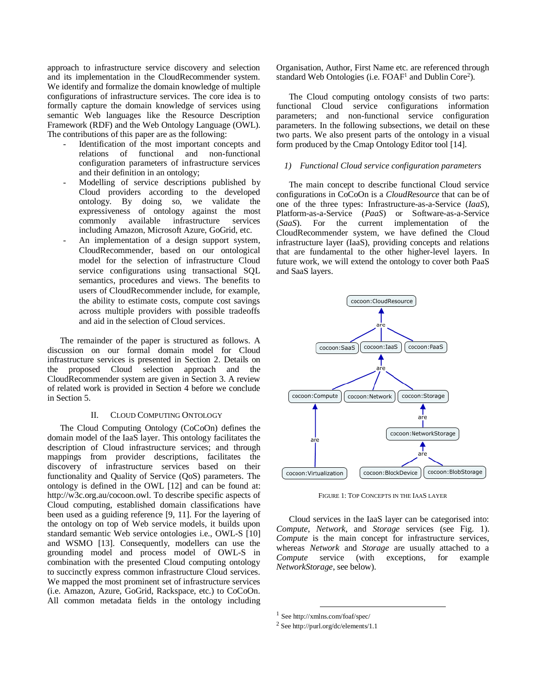approach to infrastructure service discovery and selection and its implementation in the CloudRecommender system. We identify and formalize the domain knowledge of multiple configurations of infrastructure services. The core idea is to formally capture the domain knowledge of services using semantic Web languages like the Resource Description Framework (RDF) and the Web Ontology Language (OWL). The contributions of this paper are as the following:

- Identification of the most important concepts and relations of functional and non-functional configuration parameters of infrastructure services and their definition in an ontology;
- Modelling of service descriptions published by Cloud providers according to the developed ontology. By doing so, we validate the expressiveness of ontology against the most commonly available infrastructure services including Amazon, Microsoft Azure, GoGrid, etc.
- An implementation of a design support system, CloudRecommender, based on our ontological model for the selection of infrastructure Cloud service configurations using transactional SQL semantics, procedures and views. The benefits to users of CloudRecommender include, for example, the ability to estimate costs, compute cost savings across multiple providers with possible tradeoffs and aid in the selection of Cloud services.

The remainder of the paper is structured as follows. A discussion on our formal domain model for Cloud infrastructure services is presented in Section 2. Details on the proposed Cloud selection approach and the CloudRecommender system are given in Section 3. A review of related work is provided in Section 4 before we conclude in Section 5.

## II. CLOUD COMPUTING ONTOLOGY

The Cloud Computing Ontology (CoCoOn) defines the domain model of the IaaS layer. This ontology facilitates the description of Cloud infrastructure services; and through mappings from provider descriptions, facilitates the discovery of infrastructure services based on their functionality and Quality of Service (QoS) parameters. The ontology is defined in the OWL [\[12\]](#page-6-1) and can be found at: http://w3c.org.au/cocoon.owl. To describe specific aspects of Cloud computing, established domain classifications have been used as a guiding reference [9, 11]. For the layering of the ontology on top of Web service models, it builds upon standard semantic Web service ontologies i.e., OWL-S [10] and WSMO [13]. Consequently, modellers can use the grounding model and process model of OWL-S in combination with the presented Cloud computing ontology to succinctly express common infrastructure Cloud services. We mapped the most prominent set of infrastructure services (i.e. Amazon, Azure, GoGrid, Rackspace, etc.) to CoCoOn. All common metadata fields in the ontology including

Organisation, Author, First Name etc. are referenced through standard Web Ontologies (i.e. FOAF<sup>1</sup> and Dublin Core<sup>2</sup>).

The Cloud computing ontology consists of two parts: functional Cloud service configurations information parameters; and non-functional service configuration parameters. In the following subsections, we detail on these two parts. We also present parts of the ontology in a visual form produced by the Cmap Ontology Editor tool [14].

### *1) Functional Cloud service configuration parameters*

The main concept to describe functional Cloud service configurations in CoCoOn is a *CloudResource* that can be of one of the three types: Infrastructure-as-a-Service (*IaaS*), Platform-as-a-Service (*PaaS*) or Software-as-a-Service (*SaaS*). For the current implementation of the CloudRecommender system, we have defined the Cloud infrastructure layer (IaaS), providing concepts and relations that are fundamental to the other higher-level layers. In future work, we will extend the ontology to cover both PaaS and SaaS layers.



FIGURE 1: TOP CONCEPTS IN THE IAAS LAYER

Cloud services in the IaaS layer can be categorised into: *Compute*, *Network*, and *Storage* services (see Fig. 1). *Compute* is the main concept for infrastructure services, whereas *Network* and *Storage* are usually attached to a *Compute* service (with exceptions, for example *NetworkStorage*, see below).

l 1 See http://xmlns.com/foaf/spec/

<sup>2</sup> See http://purl.org/dc/elements/1.1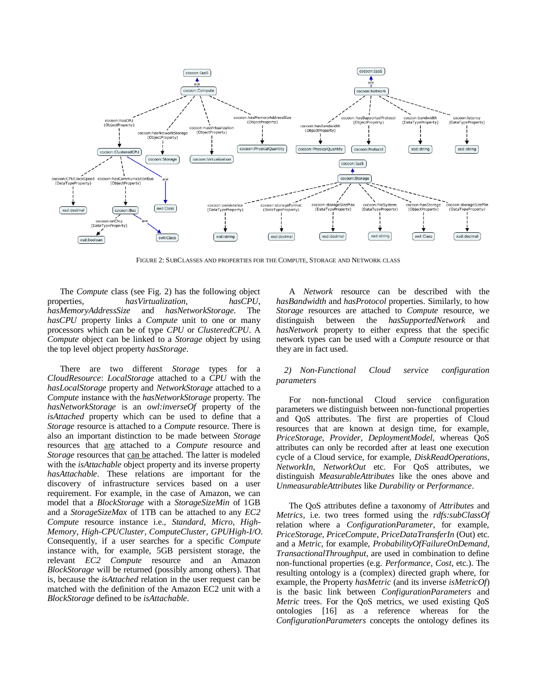

FIGURE 2: SUBCLASSES AND PROPERTIES FOR THE COMPUTE, STORAGE AND NETWORK CLASS

The *Compute* class (see Fig. 2) has the following object properties, *hasVirtualization, hasCPU*, *hasMemoryAddressSize* and *hasNetworkStorage*. The *hasCPU* property links a *Compute* unit to one or many processors which can be of type *CPU* or *ClusteredCPU*. A *Compute* object can be linked to a *Storage* object by using the top level object property *hasStorage*.

There are two different *Storage* types for a *CloudResource*: *LocalStorage* attached to a *CPU* with the *hasLocalStorage* property and *NetworkStorage* attached to a *Compute* instance with the *hasNetworkStorage* property. The *hasNetworkStorage* is an *owl:inverseOf* property of the *isAttached* property which can be used to define that a *Storage* resource is attached to a *Compute* resource. There is also an important distinction to be made between *Storage* resources that are attached to a *Compute* resource and *Storage* resources that can be attached. The latter is modeled with the *isAttachable* object property and its inverse property *hasAttachable*. These relations are important for the discovery of infrastructure services based on a user requirement. For example, in the case of Amazon, we can model that a *BlockStorage* with a *StorageSizeMin* of 1GB and a *StorageSizeMax* of 1TB can be attached to any *EC2 Compute* resource instance i.e., *Standard*, *Micro*, *High-Memory*, *High-CPUCluster*, *ComputeCluster*, *GPUHigh-I/O*. Consequently, if a user searches for a specific *Compute* instance with, for example, 5GB persistent storage, the relevant *EC2 Compute* resource and an Amazon *BlockStorage* will be returned (possibly among others). That is, because the *isAttached* relation in the user request can be matched with the definition of the Amazon EC2 unit with a *BlockStorage* defined to be *isAttachable*.

A *Network* resource can be described with the *hasBandwidth* and *hasProtocol* properties. Similarly, to how *Storage* resources are attached to *Compute* resource, we distinguish between the *hasSupportedNetwork* and *hasNetwork* property to either express that the specific network types can be used with a *Compute* resource or that they are in fact used.

# *2) Non-Functional Cloud service configuration parameters*

For non-functional Cloud service configuration parameters we distinguish between non-functional properties and QoS attributes. The first are properties of Cloud resources that are known at design time, for example, *PriceStorage*, *Provider*, *DeploymentModel*, whereas QoS attributes can only be recorded after at least one execution cycle of a Cloud service, for example, *DiskReadOperations*, *NetworkIn*, *NetworkOut* etc. For QoS attributes, we distinguish *MeasurableAttributes* like the ones above and *UnmeasurableAttributes* like *Durability* or *Performance*.

The QoS attributes define a taxonomy of *Attributes* and *Metrics*, i.e. two trees formed using the *rdfs:subClassOf* relation where a *ConfigurationParameter*, for example, *PriceStorage*, *PriceCompute*, *PriceDataTransferIn* (Out) etc. and a *Metric*, for example, *ProbabilityOfFailureOnDemand*, *TransactionalThroughput*, are used in combination to define non-functional properties (e.g. *Performance*, *Cost*, etc.). The resulting ontology is a (complex) directed graph where, for example, the Property *hasMetric* (and its inverse *isMetricOf*) is the basic link between *ConfigurationParameters* and *Metric* trees. For the QoS metrics, we used existing QoS ontologies [16] as a reference whereas for the *ConfigurationParameters* concepts the ontology defines its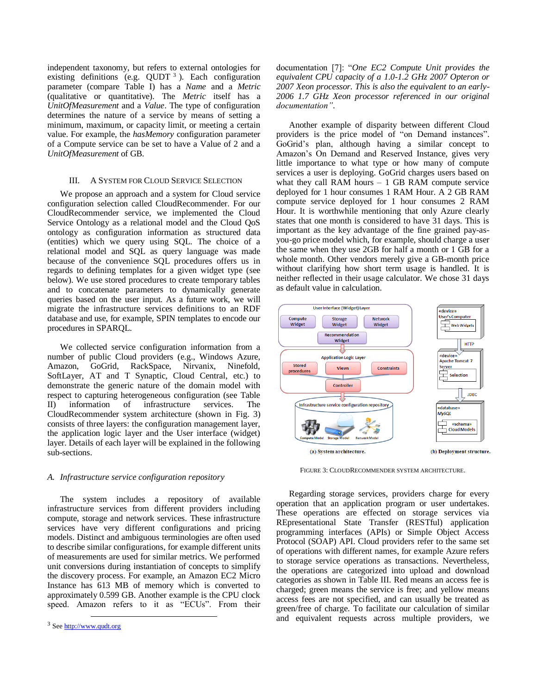independent taxonomy, but refers to external ontologies for existing definitions (e.g.  $QUDT<sup>3</sup>$ ). Each configuration parameter (compare Table I) has a *Name* and a *Metric* (qualitative or quantitative). The *Metric* itself has a *UnitOfMeasurement* and a *Value*. The type of configuration determines the nature of a service by means of setting a minimum, maximum, or capacity limit, or meeting a certain value. For example, the *hasMemory* configuration parameter of a Compute service can be set to have a Value of 2 and a *UnitOfMeasurement* of GB.

#### III. A SYSTEM FOR CLOUD SERVICE SELECTION

We propose an approach and a system for Cloud service configuration selection called CloudRecommender. For our CloudRecommender service, we implemented the Cloud Service Ontology as a relational model and the Cloud QoS ontology as configuration information as structured data (entities) which we query using SQL. The choice of a relational model and SQL as query language was made because of the convenience SQL procedures offers us in regards to defining templates for a given widget type (see below). We use stored procedures to create temporary tables and to concatenate parameters to dynamically generate queries based on the user input. As a future work, we will migrate the infrastructure services definitions to an RDF database and use, for example, SPIN templates to encode our procedures in SPARQL.

We collected service configuration information from a number of public Cloud providers (e.g., Windows Azure, Amazon, GoGrid, RackSpace, Nirvanix, Ninefold, SoftLayer, AT and T Synaptic, Cloud Central, etc.) to demonstrate the generic nature of the domain model with respect to capturing heterogeneous configuration (see Table II) information of infrastructure services. The CloudRecommender system architecture (shown in Fig. 3) consists of three layers: the configuration management layer, the application logic layer and the User interface (widget) layer. Details of each layer will be explained in the following sub-sections.

# *A. Infrastructure service configuration repository*

The system includes a repository of available infrastructure services from different providers including compute, storage and network services. These infrastructure services have very different configurations and pricing models. Distinct and ambiguous terminologies are often used to describe similar configurations, for example different units of measurements are used for similar metrics. We performed unit conversions during instantiation of concepts to simplify the discovery process. For example, an Amazon EC2 Micro Instance has 613 MB of memory which is converted to approximately 0.599 GB. Another example is the CPU clock speed. Amazon refers to it as "ECUs". From their

l

documentation [7]: "*One EC2 Compute Unit provides the equivalent CPU capacity of a 1.0-1.2 GHz 2007 Opteron or 2007 Xeon processor. This is also the equivalent to an early-2006 1.7 GHz Xeon processor referenced in our original documentation"*.

Another example of disparity between different Cloud providers is the price model of "on Demand instances". GoGrid's plan, although having a similar concept to Amazon's On Demand and Reserved Instance, gives very little importance to what type or how many of compute services a user is deploying. GoGrid charges users based on what they call RAM hours  $-1$  GB RAM compute service deployed for 1 hour consumes 1 RAM Hour. A 2 GB RAM compute service deployed for 1 hour consumes 2 RAM Hour. It is worthwhile mentioning that only Azure clearly states that one month is considered to have 31 days. This is important as the key advantage of the fine grained pay-asyou-go price model which, for example, should charge a user the same when they use 2GB for half a month or 1 GB for a whole month. Other vendors merely give a GB-month price without clarifying how short term usage is handled. It is neither reflected in their usage calculator. We chose 31 days as default value in calculation.



FIGURE 3: CLOUDRECOMMENDER SYSTEM ARCHITECTURE.

Regarding storage services, providers charge for every operation that an application program or user undertakes. These operations are effected on storage services via REpresentational State Transfer (RESTful) application programming interfaces (APIs) or Simple Object Access Protocol (SOAP) API. Cloud providers refer to the same set of operations with different names, for example Azure refers to storage service operations as transactions. Nevertheless, the operations are categorized into upload and download categories as shown in Table III. Red means an access fee is charged; green means the service is free; and yellow means access fees are not specified, and can usually be treated as green/free of charge. To facilitate our calculation of similar and equivalent requests across multiple providers, we

<sup>&</sup>lt;sup>3</sup> Se[e http://www.qudt.org](http://www.qudt.org/)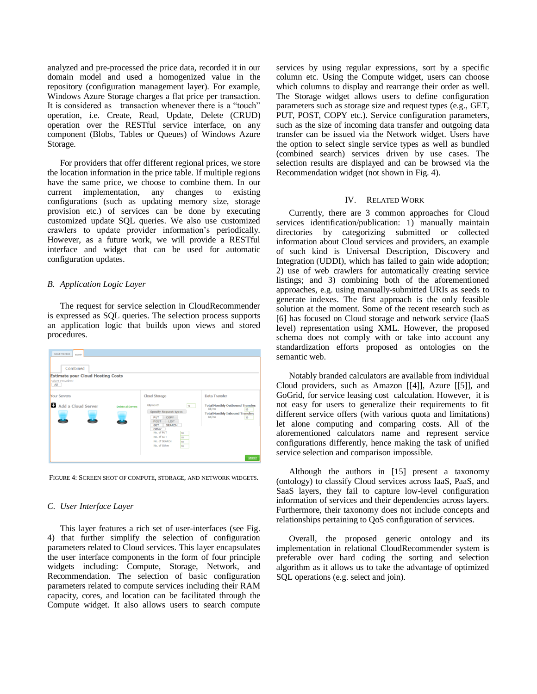analyzed and pre-processed the price data, recorded it in our domain model and used a homogenized value in the repository (configuration management layer). For example, Windows Azure Storage charges a flat price per transaction. It is considered as transaction whenever there is a "touch" operation, i.e. Create, Read, Update, Delete (CRUD) operation over the RESTful service interface, on any component (Blobs, Tables or Queues) of Windows Azure Storage.

For providers that offer different regional prices, we store the location information in the price table. If multiple regions have the same price, we choose to combine them. In our current implementation, any changes to existing configurations (such as updating memory size, storage provision etc.) of services can be done by executing customized update SQL queries. We also use customized crawlers to update provider information's periodically. However, as a future work, we will provide a RESTful interface and widget that can be used for automatic configuration updates.

# *B. Application Logic Layer*

The request for service selection in CloudRecommender is expressed as SQL queries. The selection process supports an application logic that builds upon views and stored procedures.

| Cloud Providers<br>Search<br>Combined<br><b>Estimate your Cloud Hosting Costs</b><br>Select Providers:<br>All |                                                                                                                                                                                                                                                |                                                                                                                                                        |
|---------------------------------------------------------------------------------------------------------------|------------------------------------------------------------------------------------------------------------------------------------------------------------------------------------------------------------------------------------------------|--------------------------------------------------------------------------------------------------------------------------------------------------------|
| Your Servers<br><b>D</b> Add a Cloud Server<br>Delete all Servers                                             | Cloud Storage<br>GB/month<br>10<br><b>Specify Request types</b><br>COPY<br>PUT<br><b>POST</b><br><b>LIST</b><br><b>SEARCH</b><br><b>GET</b><br>Other<br>No. of PUT<br>10<br>No. of GET<br>10<br>No. of SEARCH<br>10<br>-<br>No. of Other<br>10 | Data Transfer<br><b>Total Monthly Outbound Transfer:</b><br>GB/m <sub>o</sub><br>50<br><b>Total Monthly Inbound Transfer:</b><br>GB/mo<br>30<br>Search |

FIGURE 4: SCREEN SHOT OF COMPUTE, STORAGE, AND NETWORK WIDGETS.

# *C. User Interface Layer*

This layer features a rich set of user-interfaces (see Fig. 4) that further simplify the selection of configuration parameters related to Cloud services. This layer encapsulates the user interface components in the form of four principle widgets including: Compute, Storage, Network, and Recommendation. The selection of basic configuration parameters related to compute services including their RAM capacity, cores, and location can be facilitated through the Compute widget. It also allows users to search compute services by using regular expressions, sort by a specific column etc. Using the Compute widget, users can choose which columns to display and rearrange their order as well. The Storage widget allows users to define configuration parameters such as storage size and request types (e.g., GET, PUT, POST, COPY etc.). Service configuration parameters, such as the size of incoming data transfer and outgoing data transfer can be issued via the Network widget. Users have the option to select single service types as well as bundled (combined search) services driven by use cases. The selection results are displayed and can be browsed via the Recommendation widget (not shown in Fig. 4).

## IV. RELATED WORK

Currently, there are 3 common approaches for Cloud services identification/publication: 1) manually maintain directories by categorizing submitted or collected information about Cloud services and providers, an example of such kind is Universal Description, Discovery and Integration (UDDI), which has failed to gain wide adoption; 2) use of web crawlers for automatically creating service listings; and 3) combining both of the aforementioned approaches, e.g. using manually-submitted URIs as seeds to generate indexes. The first approach is the only feasible solution at the moment. Some of the recent research such as [6] has focused on Cloud storage and network service (IaaS level) representation using XML. However, the proposed schema does not comply with or take into account any standardization efforts proposed as ontologies on the semantic web.

Notably branded calculators are available from individual Cloud providers, such as Amazon [\[\[4\]\]](#page-6-2), Azure [\[\[5\]\]](#page-6-3), and GoGrid, for service leasing cost calculation. However, it is not easy for users to generalize their requirements to fit different service offers (with various quota and limitations) let alone computing and comparing costs. All of the aforementioned calculators name and represent service configurations differently, hence making the task of unified service selection and comparison impossible.

Although the authors in [15] present a taxonomy (ontology) to classify Cloud services across IaaS, PaaS, and SaaS layers, they fail to capture low-level configuration information of services and their dependencies across layers. Furthermore, their taxonomy does not include concepts and relationships pertaining to QoS configuration of services.

Overall, the proposed generic ontology and its implementation in relational CloudRecommender system is preferable over hard coding the sorting and selection algorithm as it allows us to take the advantage of optimized SQL operations (e.g. select and join).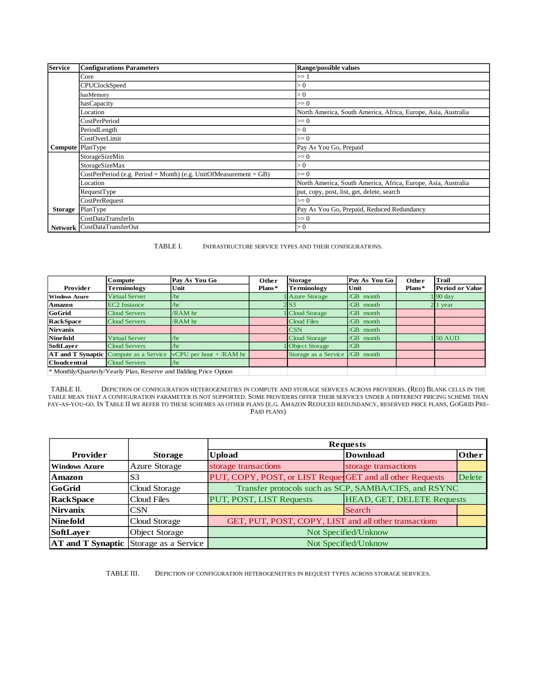| <b>Service</b> | <b>Configurations Parameters</b>                                    | Range/possible values                                         |  |
|----------------|---------------------------------------------------------------------|---------------------------------------------------------------|--|
|                | Core                                                                | $>= 1$                                                        |  |
|                | <b>CPUClockSpeed</b>                                                | > 0                                                           |  |
|                | hasMemory                                                           | > 0                                                           |  |
|                | hasCapacity                                                         | $>= 0$                                                        |  |
|                | Location                                                            | North America, South America, Africa, Europe, Asia, Australia |  |
|                | CostPerPeriod                                                       | $>= 0$                                                        |  |
|                | PeriodLength                                                        | > 0                                                           |  |
|                | CostOverLimit                                                       | $>= 0$                                                        |  |
|                | <b>Compute</b> PlanType                                             | Pay As You Go, Prepaid                                        |  |
|                | StorageSizeMin                                                      | $>= 0$                                                        |  |
|                | StorageSizeMax                                                      | > 0                                                           |  |
|                | $CostPerPeriod$ (e.g. Period = Month) (e.g. UnitOfMeasurement = GB) | $>= 0$                                                        |  |
|                | Location                                                            | North America, South America, Africa, Europe, Asia, Australia |  |
|                | RequestType                                                         | put, copy, post, list, get, delete, search                    |  |
|                | CostPerRequest                                                      | $>= 0$                                                        |  |
| <b>Storage</b> | PlanType                                                            | Pay As You Go, Prepaid, Reduced Redundancy                    |  |
|                | CostDataTransferIn                                                  | $>= 0$                                                        |  |
|                | Network CostDataTransferOut                                         | > 0                                                           |  |

TABLE I. INFRASTRUCTURE SERVICE TYPES AND THEIR CONFIGURATIONS.

|                                                                   | Compute                                       | Pay As You Go             | Other  | <b>Storage</b>        | Pay As You Go | Other  | Trail                  |
|-------------------------------------------------------------------|-----------------------------------------------|---------------------------|--------|-----------------------|---------------|--------|------------------------|
| <b>Provider</b>                                                   | <b>Terminology</b>                            | Unit                      | Plans* | <b>Terminology</b>    | Unit          | Plans* | <b>Period or Value</b> |
| <b>Windows Azure</b>                                              | <b>Virtual Server</b>                         | /hr                       |        | <b>Azure Storage</b>  | /GB month     |        | $1\,90\,\mathrm{day}$  |
| Amazon                                                            | <b>EC2</b> Instance                           | /hr                       |        |                       | /GB month     |        | 2 1 year               |
| GoGrid                                                            | <b>Cloud Servers</b>                          | /RAM hr                   |        | <b>Cloud Storage</b>  | /GB month     |        |                        |
| <b>RackSpace</b>                                                  | <b>Cloud Servers</b>                          | /RAM hr                   |        | <b>Cloud Files</b>    | /GB month     |        |                        |
| Nirvanix                                                          |                                               |                           |        | CSN                   | /GB month     |        |                        |
| <b>Ninefold</b>                                                   | Virtual Server                                | /hr                       |        | <b>Cloud Storage</b>  | /GB month     |        | $150$ AUD              |
| SoftLayer                                                         | <b>Cloud Servers</b>                          | Ar                        |        | <b>Object Storage</b> | /GB           |        |                        |
|                                                                   | <b>AT and T Synaptic Compute as a Service</b> | $vCPU$ per hour + /RAM hr |        | Storage as a Service  | $/GB$ month   |        |                        |
| <b>Cloudcentral</b>                                               | <b>Cloud Servers</b>                          | /hr                       |        |                       |               |        |                        |
| * Monthly/Quarterly/Yearly Plan, Reserve and Bidding Price Option |                                               |                           |        |                       |               |        |                        |

TABLE II. DEPICTION OF CONFIGURATION HETEROGENEITIES IN COMPUTE AND STORAGE SERVICES ACROSS PROVIDERS. (RED) BLANK CELLS IN THE TABLE MEAN THAT A CONFIGURATION PARAMETER IS NOT SUPPORTED. SOME PROVIDERS OFFER THEIR SERVICES UNDER A DIFFERENT PRICING SCHEME THAN PAY-AS-YOU-GO. IN TABLE II WE REFER TO THESE SCHEMES AS OTHER PLANS (E.G. AMAZON REDUCED REDUNDANCY, RESERVED PRICE PLANS, GOGRID PRE-PAID PLANS)

|                 |                                               | <b>Requests</b>                                            |                                   |        |  |  |
|-----------------|-----------------------------------------------|------------------------------------------------------------|-----------------------------------|--------|--|--|
| <b>Provider</b> | <b>Storage</b>                                | <b>Upload</b>                                              | <b>Download</b>                   | Other  |  |  |
| Windows Azure   | Azure Storage                                 | storage transactions                                       | storage transactions              |        |  |  |
| Amazon          | S <sub>3</sub>                                | PUT, COPY, POST, or LIST Reques GET and all other Requests |                                   | Delete |  |  |
| <b>GoGrid</b>   | Cloud Storage                                 | Transfer protocols such as SCP, SAMBA/CIFS, and RSYNC      |                                   |        |  |  |
| RackSpace       | Cloud Files                                   | PUT, POST, LIST Requests                                   | <b>HEAD, GET, DELETE Requests</b> |        |  |  |
| <b>Nirvanix</b> | CSN                                           |                                                            | Search                            |        |  |  |
| <b>Ninefold</b> | Cloud Storage                                 | GET, PUT, POST, COPY, LIST and all other transactions      |                                   |        |  |  |
| SoftLayer       | <b>Object Storage</b>                         | Not Specified/Unknow                                       |                                   |        |  |  |
|                 | <b>AT and T Synaptic</b> Storage as a Service |                                                            | Not Specified/Unknow              |        |  |  |

TABLE III. DEPICTION OF CONFIGURATION HETEROGENEITIES IN REQUEST TYPES ACROSS STORAGE SERVICES.